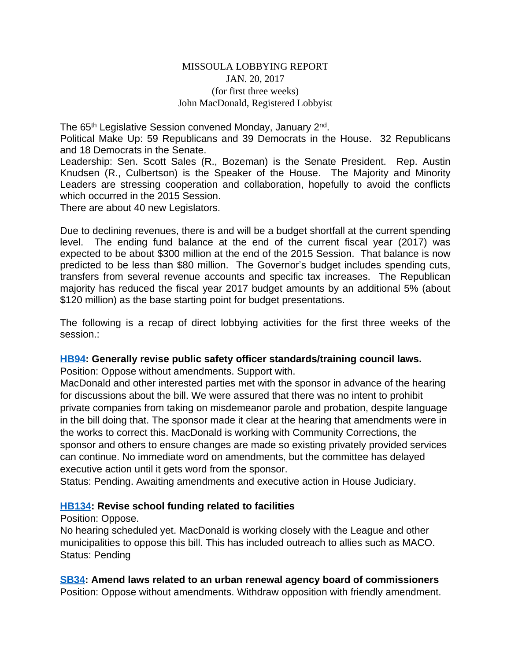## MISSOULA LOBBYING REPORT JAN. 20, 2017 (for first three weeks) John MacDonald, Registered Lobbyist

The 65<sup>th</sup> Legislative Session convened Monday, January 2<sup>nd</sup>.

Political Make Up: 59 Republicans and 39 Democrats in the House. 32 Republicans and 18 Democrats in the Senate.

Leadership: Sen. Scott Sales (R., Bozeman) is the Senate President. Rep. Austin Knudsen (R., Culbertson) is the Speaker of the House. The Majority and Minority Leaders are stressing cooperation and collaboration, hopefully to avoid the conflicts which occurred in the 2015 Session.

There are about 40 new Legislators.

Due to declining revenues, there is and will be a budget shortfall at the current spending level. The ending fund balance at the end of the current fiscal year (2017) was expected to be about \$300 million at the end of the 2015 Session. That balance is now predicted to be less than \$80 million. The Governor's budget includes spending cuts, transfers from several revenue accounts and specific tax increases. The Republican majority has reduced the fiscal year 2017 budget amounts by an additional 5% (about \$120 million) as the base starting point for budget presentations.

The following is a recap of direct lobbying activities for the first three weeks of the session.:

#### **[HB94:](http://laws.leg.mt.gov/legprd/LAW0210W$BSIV.ActionQuery?P_BILL_NO1=94&P_BLTP_BILL_TYP_CD=HB&Z_ACTION=Find&P_SESS=20171) Generally revise public safety officer standards/training council laws.**

Position: Oppose without amendments. Support with.

MacDonald and other interested parties met with the sponsor in advance of the hearing for discussions about the bill. We were assured that there was no intent to prohibit private companies from taking on misdemeanor parole and probation, despite language in the bill doing that. The sponsor made it clear at the hearing that amendments were in the works to correct this. MacDonald is working with Community Corrections, the sponsor and others to ensure changes are made so existing privately provided services can continue. No immediate word on amendments, but the committee has delayed executive action until it gets word from the sponsor.

Status: Pending. Awaiting amendments and executive action in House Judiciary.

## **[HB134](http://laws.leg.mt.gov/legprd/LAW0210W$BSIV.ActionQuery?P_BILL_NO1=134&P_BLTP_BILL_TYP_CD=HB&Z_ACTION=Find&P_SESS=20171): Revise school funding related to facilities**

#### Position: Oppose.

No hearing scheduled yet. MacDonald is working closely with the League and other municipalities to oppose this bill. This has included outreach to allies such as MACO. Status: Pending

## **[SB34](http://laws.leg.mt.gov/legprd/LAW0210W$BSIV.ActionQuery?P_BILL_NO1=34&P_BLTP_BILL_TYP_CD=SB&Z_ACTION=Find&P_SESS=20171): Amend laws related to an urban renewal agency board of commissioners**

Position: Oppose without amendments. Withdraw opposition with friendly amendment.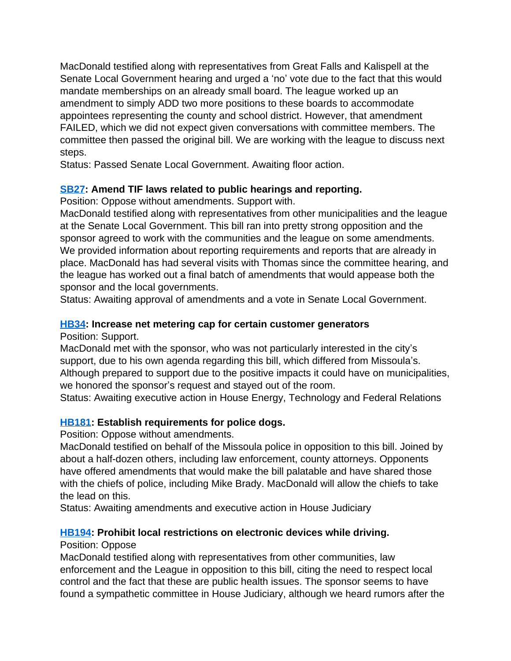MacDonald testified along with representatives from Great Falls and Kalispell at the Senate Local Government hearing and urged a 'no' vote due to the fact that this would mandate memberships on an already small board. The league worked up an amendment to simply ADD two more positions to these boards to accommodate appointees representing the county and school district. However, that amendment FAILED, which we did not expect given conversations with committee members. The committee then passed the original bill. We are working with the league to discuss next steps.

Status: Passed Senate Local Government. Awaiting floor action.

# **[SB27](http://laws.leg.mt.gov/legprd/LAW0210W$BSIV.ActionQuery?P_BILL_NO1=27&P_BLTP_BILL_TYP_CD=SB&Z_ACTION=Find&P_SESS=20171): Amend TIF laws related to public hearings and reporting.**

Position: Oppose without amendments. Support with.

MacDonald testified along with representatives from other municipalities and the league at the Senate Local Government. This bill ran into pretty strong opposition and the sponsor agreed to work with the communities and the league on some amendments. We provided information about reporting requirements and reports that are already in place. MacDonald has had several visits with Thomas since the committee hearing, and the league has worked out a final batch of amendments that would appease both the sponsor and the local governments.

Status: Awaiting approval of amendments and a vote in Senate Local Government.

# **[HB34:](http://laws.leg.mt.gov/legprd/LAW0210W$BSIV.ActionQuery?P_BILL_NO1=34&P_BLTP_BILL_TYP_CD=HB&Z_ACTION=Find&P_SESS=20171) Increase net metering cap for certain customer generators**

Position: Support.

MacDonald met with the sponsor, who was not particularly interested in the city's support, due to his own agenda regarding this bill, which differed from Missoula's. Although prepared to support due to the positive impacts it could have on municipalities, we honored the sponsor's request and stayed out of the room.

Status: Awaiting executive action in House Energy, Technology and Federal Relations

# **[HB181](http://laws.leg.mt.gov/legprd/LAW0210W$BSIV.ActionQuery?P_BILL_NO1=181&P_BLTP_BILL_TYP_CD=HB&Z_ACTION=Find&P_SESS=20171): Establish requirements for police dogs.**

Position: Oppose without amendments.

MacDonald testified on behalf of the Missoula police in opposition to this bill. Joined by about a half-dozen others, including law enforcement, county attorneys. Opponents have offered amendments that would make the bill palatable and have shared those with the chiefs of police, including Mike Brady. MacDonald will allow the chiefs to take the lead on this.

Status: Awaiting amendments and executive action in House Judiciary

# **[HB194](http://laws.leg.mt.gov/legprd/LAW0210W$BSIV.ActionQuery?P_BILL_NO1=194&P_BLTP_BILL_TYP_CD=HB&Z_ACTION=Find&P_SESS=20171): Prohibit local restrictions on electronic devices while driving.**

## Position: Oppose

MacDonald testified along with representatives from other communities, law enforcement and the League in opposition to this bill, citing the need to respect local control and the fact that these are public health issues. The sponsor seems to have found a sympathetic committee in House Judiciary, although we heard rumors after the